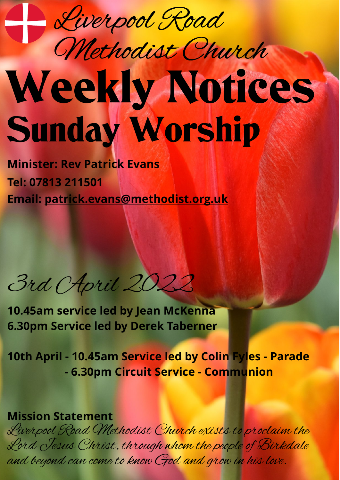

## Weekly Notices Sunday Worship Methodist Church

**Minister: Rev Patrick Evans Tel: 07813 211501 Email: [patrick.evans@methodist.org.uk](mailto:patrick.evans@methodist.org.uk)**

3rd April 2022

**10.45am service led by Jean McKenna 6.30pm Service led by Derek Taberner**

**10th April - 10.45am Service led by Colin Fyles - Parade - 6.30pm Circuit Service - Communion**

## **Mission Statement**

Liverpool Road Methodist Church exists to proclaim the Lord Jesus Christ, through whom the people of Birkdale and beyond can come to know God and grow in his love.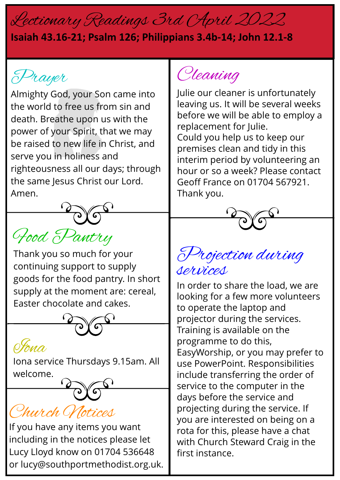## Lectionary Readings 3rd April 2022

## **Isaiah 43.16-21; Psalm 126; Philippians 3.4b-14; John 12.1-8**

Prayer

Almighty God, your Son came into the world to free us from sin and death. Breathe upon us with the power of your Spirit, that we may be raised to new life in Christ, and serve you in holiness and righteousness all our days; through the same Jesus Christ our Lord. Amen.

Food Pantry

Thank you so much for your continuing support to supply goods for the food pantry. In short supply at the moment are: cereal, Easter chocolate and cakes.



OYona

Iona service Thursdays 9.15am. All welcome.

Church Notices

If you have any items you want including in the notices please let Lucy Lloyd know on 01704 536648 or lucy@southportmethodist.org.uk.

Cleaning

Julie our cleaner is unfortunately leaving us. It will be several weeks before we will be able to employ a replacement for Julie. Could you help us to keep our premises clean and tidy in this interim period by volunteering an hour or so a week? Please contact Geoff France on 01704 567921. Thank you.



Projection during services

In order to share the load, we are looking for a few more volunteers to operate the laptop and projector during the services. Training is available on the programme to do this, EasyWorship, or you may prefer to use PowerPoint. Responsibilities include transferring the order of service to the computer in the days before the service and projecting during the service. If you are interested on being on a rota for this, please have a chat with Church Steward Craig in the first instance.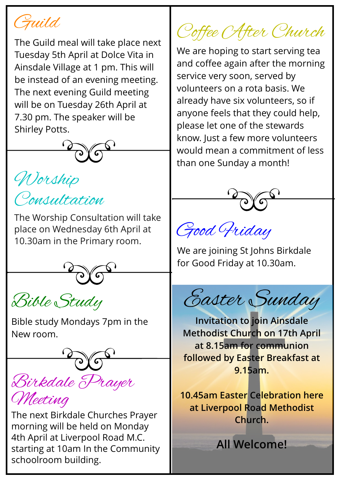

The Guild meal will take place next Tuesday 5th April at Dolce Vita in Ainsdale Village at 1 pm. This will be instead of an evening meeting. The next evening Guild meeting will be on Tuesday 26th April at 7.30 pm. The speaker will be Shirley Potts.



Worship Consultation

The Worship Consultation will take place on Wednesday 6th April at 10.30am in the Primary room.

Bible Study

Bible study Mondays 7pm in the New room.



The next Birkdale Churches Prayer morning will be held on Monday 4th April at Liverpool Road M.C. starting at 10am In the Community schoolroom building.

Coffee After Church

We are hoping to start serving tea and coffee again after the morning service very soon, served by volunteers on a rota basis. We already have six volunteers, so if anyone feels that they could help, please let one of the stewards know. Just a few more volunteers would mean a commitment of less than one Sunday a month!



Good Friday

We are joining St Johns Birkdale for Good Friday at 10.30am.

Easter Sunday

**Invitation to join Ainsdale Methodist Church on 17th April at 8.15am for communion followed by Easter Breakfast at 9.15am.**

**10.45am Easter Celebration here at Liverpool Road Methodist Church.**

**All Welcome!**